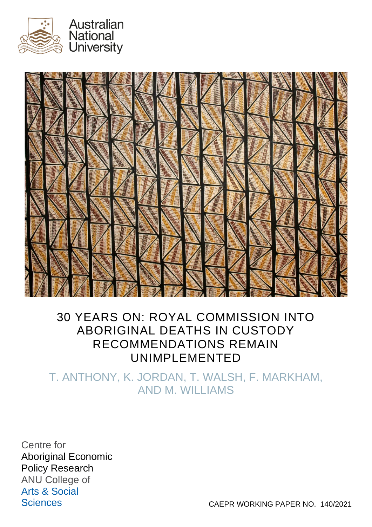



# 30 YEARS ON: ROYAL COMMISSION INTO ABORIGINAL DEATHS IN CUSTODY RECOMMENDATIONS REMAIN UNIMPLEMENTED

T. ANTHONY, K. JORDAN, T. WALSH, F. MARKHAM, AND M. WILLIAMS

Centre for Aboriginal Economic Policy Research ANU College of Arts & Social

Sciences CAEPR WORKING PAPER NO. 140/2021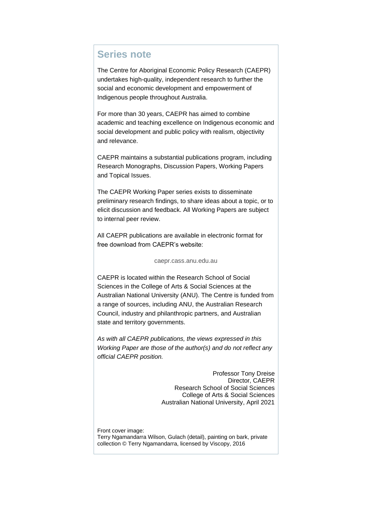#### <span id="page-1-0"></span>**Series note**

The Centre for Aboriginal Economic Policy Research (CAEPR) undertakes high-quality, independent research to further the social and economic development and empowerment of Indigenous people throughout Australia.

For more than 30 years, CAEPR has aimed to combine academic and teaching excellence on Indigenous economic and social development and public policy with realism, objectivity and relevance.

CAEPR maintains a substantial publications program, including Research Monographs, Discussion Papers, Working Papers and Topical Issues.

The CAEPR Working Paper series exists to disseminate preliminary research findings, to share ideas about a topic, or to elicit discussion and feedback. All Working Papers are subject to internal peer review.

All CAEPR publications are available in electronic format for free download from CAEPR's website:

#### [caepr.cass.anu.edu.au](http://caepr.cass.anu.edu.au/)

CAEPR is located within the Research School of Social Sciences in the College of Arts & Social Sciences at the Australian National University (ANU). The Centre is funded from a range of sources, including ANU, the Australian Research Council, industry and philanthropic partners, and Australian state and territory governments.

*As with all CAEPR publications, the views expressed in this Working Paper are those of the author(s) and do not reflect any official CAEPR position.*

> Professor Tony Dreise Director, CAEPR Research School of Social Sciences College of Arts & Social Sciences Australian National University, April 2021

Front cover image:

Terry Ngamandarra Wilson, Gulach (detail), painting on bark, private collection © Terry Ngamandarra, licensed by Viscopy, 2016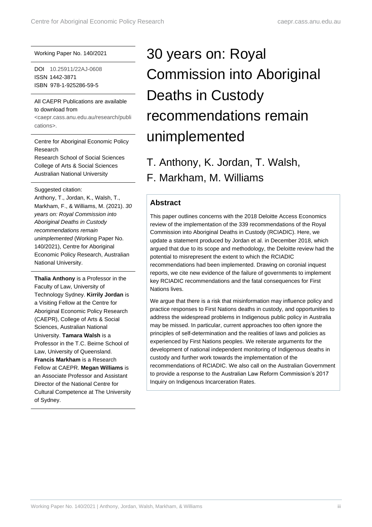#### Working Paper No. 140/2021

DOI [10.25911/22AJ-0608](https://doi.org/10.25911/22AJ-0608) ISSN 1442-3871 ISBN 978-1-925286-59-5

#### All CAEPR Publications are available to download from

[<caepr.cass.anu.edu.au/research/publi](http://caepr.cass.anu.edu.au/research/publications/) [cations>.](http://caepr.cass.anu.edu.au/research/publications/)

Centre for Aboriginal Economic Policy Research Research School of Social Sciences College of Arts & Social Sciences Australian National University

Suggested citation: Anthony, T., Jordan, K., Walsh, T., Markham, F., & Williams, M. (2021). *30 years on: Royal Commission into Aboriginal Deaths in Custody recommendations remain unimplemented* (Working Paper No. 140/2021), Centre for Aboriginal Economic Policy Research, Australian National University.

**Thalia Anthony** is a Professor in the Faculty of Law, University of Technology Sydney. **Kirrily Jordan** is a Visiting Fellow at the Centre for Aboriginal Economic Policy Research (CAEPR), College of Arts & Social Sciences, Australian National University. **Tamara Walsh** is a Professor in the T.C. Beirne School of Law, University of Queensland. **Francis Markham** is a Research Fellow at CAEPR. **Megan Williams** is an Associate Professor and Assistant Director of the National Centre for Cultural Competence at The University of Sydney.

# 30 years on: Royal Commission into Aboriginal Deaths in Custody recommendations remain unimplemented

T. Anthony, K. Jordan, T. Walsh, F. Markham, M. Williams

#### <span id="page-2-0"></span>**Abstract**

This paper outlines concerns with the 2018 Deloitte Access Economics review of the implementation of the 339 recommendations of the Royal Commission into Aboriginal Deaths in Custody (RCIADIC). Here, we update a statement produced by Jordan et al. in December 2018, which argued that due to its scope and methodology, the Deloitte review had the potential to misrepresent the extent to which the RCIADIC recommendations had been implemented. Drawing on coronial inquest reports, we cite new evidence of the failure of governments to implement key RCIADIC recommendations and the fatal consequences for First Nations lives.

We argue that there is a risk that misinformation may influence policy and practice responses to First Nations deaths in custody, and opportunities to address the widespread problems in Indigenous public policy in Australia may be missed. In particular, current approaches too often ignore the principles of self-determination and the realities of laws and policies as experienced by First Nations peoples. We reiterate arguments for the development of national independent monitoring of Indigenous deaths in custody and further work towards the implementation of the recommendations of RCIADIC. We also call on the Australian Government to provide a response to the Australian Law Reform Commission's 2017 Inquiry on Indigenous Incarceration Rates.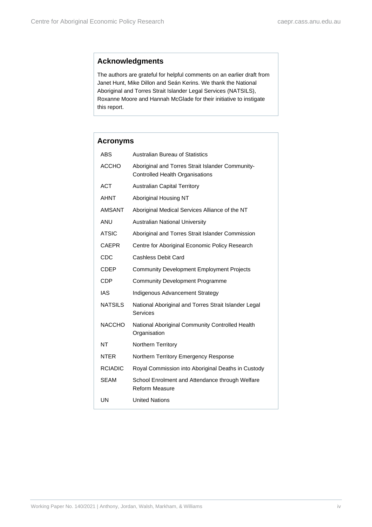#### <span id="page-3-0"></span>**Acknowledgments**

The authors are grateful for helpful comments on an earlier draft from Janet Hunt, Mike Dillon and Seán Kerins. We thank the National Aboriginal and Torres Strait Islander Legal Services (NATSILS), Roxanne Moore and Hannah McGlade for their initiative to instigate this report.

<span id="page-3-1"></span>

| <b>Acronyms</b> |                                                                                            |
|-----------------|--------------------------------------------------------------------------------------------|
| ABS             | Australian Bureau of Statistics                                                            |
| ACCHO           | Aboriginal and Torres Strait Islander Community-<br><b>Controlled Health Organisations</b> |
| <b>ACT</b>      | <b>Australian Capital Territory</b>                                                        |
| AHNT            | Aboriginal Housing NT                                                                      |
| <b>AMSANT</b>   | Aboriginal Medical Services Alliance of the NT                                             |
| ANU             | <b>Australian National University</b>                                                      |
| <b>ATSIC</b>    | Aboriginal and Torres Strait Islander Commission                                           |
| <b>CAEPR</b>    | Centre for Aboriginal Economic Policy Research                                             |
| CDC             | Cashless Debit Card                                                                        |
| CDEP            | <b>Community Development Employment Projects</b>                                           |
| <b>CDP</b>      | <b>Community Development Programme</b>                                                     |
| IAS             | Indigenous Advancement Strategy                                                            |
| <b>NATSILS</b>  | National Aboriginal and Torres Strait Islander Legal<br>Services                           |
| <b>NACCHO</b>   | National Aboriginal Community Controlled Health<br>Organisation                            |
| <b>NT</b>       | Northern Territory                                                                         |
| <b>NTER</b>     | Northern Territory Emergency Response                                                      |
| <b>RCIADIC</b>  | Royal Commission into Aboriginal Deaths in Custody                                         |
| SEAM            | School Enrolment and Attendance through Welfare<br><b>Reform Measure</b>                   |
| UN              | <b>United Nations</b>                                                                      |
|                 |                                                                                            |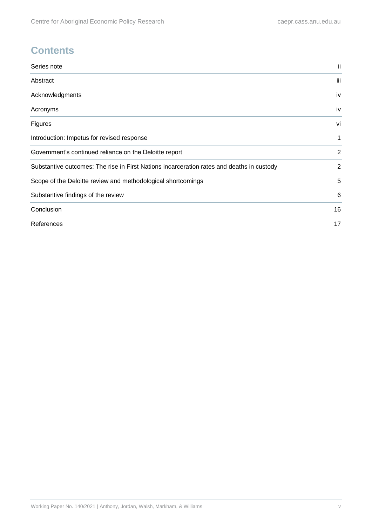### **Contents**

| Series note                                                                               | ii  |
|-------------------------------------------------------------------------------------------|-----|
| Abstract                                                                                  | iii |
| Acknowledgments                                                                           | iv  |
| Acronyms                                                                                  | iv  |
| Figures                                                                                   | vi  |
| Introduction: Impetus for revised response                                                |     |
| Government's continued reliance on the Deloitte report                                    |     |
| Substantive outcomes: The rise in First Nations incarceration rates and deaths in custody |     |
| Scope of the Deloitte review and methodological shortcomings                              | 5   |
| Substantive findings of the review                                                        | 6   |
| Conclusion                                                                                | 16  |
| References                                                                                | 17  |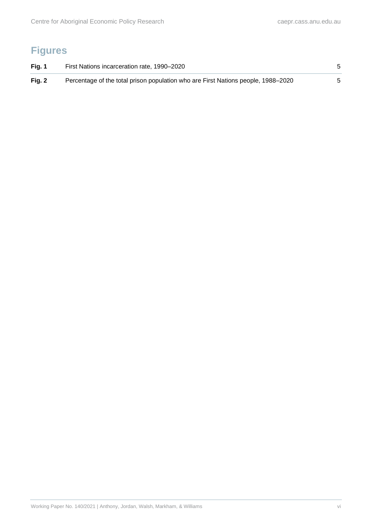# <span id="page-5-0"></span>**Figures**

| Fig. 1   | First Nations incarceration rate, 1990–2020                                       |  |
|----------|-----------------------------------------------------------------------------------|--|
| Fig. $2$ | Percentage of the total prison population who are First Nations people, 1988–2020 |  |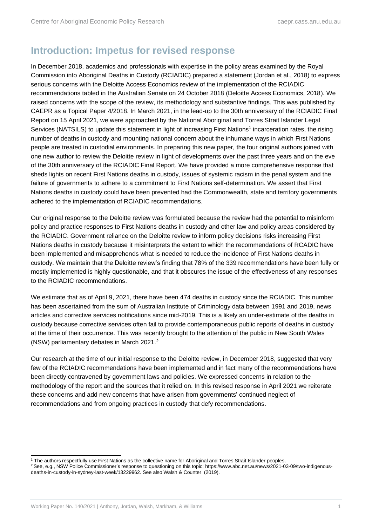### <span id="page-6-0"></span>**Introduction: Impetus for revised response**

In December 2018, academics and professionals with expertise in the policy areas examined by the Royal Commission into Aboriginal Deaths in Custody (RCIADIC) prepared a statement (Jordan et al., 2018) to express serious concerns with the Deloitte Access Economics review of the implementation of the RCIADIC recommendations tabled in the Australian Senate on 24 October 2018 (Deloitte Access Economics, 2018). We raised concerns with the scope of the review, its methodology and substantive findings. This was published by CAEPR as a Topical Paper 4/2018. In March 2021, in the lead-up to the 30th anniversary of the RCIADIC Final Report on 15 April 2021, we were approached by the National Aboriginal and Torres Strait Islander Legal Services (NATSILS) to update this statement in light of increasing First Nations<sup>1</sup> incarceration rates, the rising number of deaths in custody and mounting national concern about the inhumane ways in which First Nations people are treated in custodial environments. In preparing this new paper, the four original authors joined with one new author to review the Deloitte review in light of developments over the past three years and on the eve of the 30th anniversary of the RCIADIC Final Report. We have provided a more comprehensive response that sheds lights on recent First Nations deaths in custody, issues of systemic racism in the penal system and the failure of governments to adhere to a commitment to First Nations self-determination. We assert that First Nations deaths in custody could have been prevented had the Commonwealth, state and territory governments adhered to the implementation of RCIADIC recommendations.

Our original response to the Deloitte review was formulated because the review had the potential to misinform policy and practice responses to First Nations deaths in custody and other law and policy areas considered by the RCIADIC. Government reliance on the Deloitte review to inform policy decisions risks increasing First Nations deaths in custody because it misinterprets the extent to which the recommendations of RCADIC have been implemented and misapprehends what is needed to reduce the incidence of First Nations deaths in custody. We maintain that the Deloitte review's finding that 78% of the 339 recommendations have been fully or mostly implemented is highly questionable, and that it obscures the issue of the effectiveness of any responses to the RCIADIC recommendations.

We estimate that as of April 9, 2021, there have been 474 deaths in custody since the RCIADIC. This number has been ascertained from the sum of Australian Institute of Criminology data between 1991 and 2019, news articles and corrective services notifications since mid-2019. This is a likely an under-estimate of the deaths in custody because corrective services often fail to provide contemporaneous public reports of deaths in custody at the time of their occurrence. This was recently brought to the attention of the public in New South Wales (NSW) parliamentary debates in March 2021.<sup>2</sup>

Our research at the time of our initial response to the Deloitte review, in December 2018, suggested that very few of the RCIADIC recommendations have been implemented and in fact many of the recommendations have been directly contravened by government laws and policies. We expressed concerns in relation to the methodology of the report and the sources that it relied on. In this revised response in April 2021 we reiterate these concerns and add new concerns that have arisen from governments' continued neglect of recommendations and from ongoing practices in custody that defy recommendations.

<sup>1</sup> The authors respectfully use First Nations as the collective name for Aboriginal and Torres Strait Islander peoples.

<sup>2</sup> See, e.g., NSW Police Commissioner's response to questioning on this topic[: https://www.abc.net.au/news/2021-03-09/two-indigenous](https://www.abc.net.au/news/2021-03-09/two-indigenous-deaths-in-custody-in-sydney-last-week/13229962)[deaths-in-custody-in-sydney-last-week/13229962.](https://www.abc.net.au/news/2021-03-09/two-indigenous-deaths-in-custody-in-sydney-last-week/13229962) See also Walsh & Counter (2019).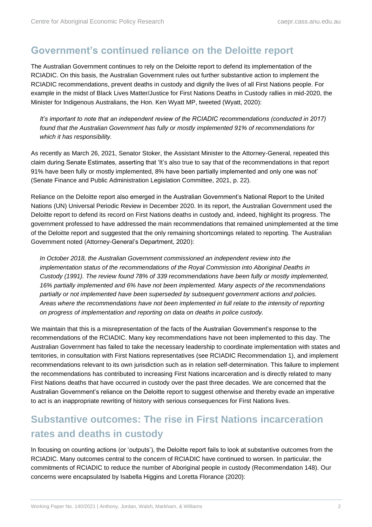### <span id="page-7-0"></span>**Government's continued reliance on the Deloitte report**

The Australian Government continues to rely on the Deloitte report to defend its implementation of the RCIADIC. On this basis, the Australian Government rules out further substantive action to implement the RCIADIC recommendations, prevent deaths in custody and dignify the lives of all First Nations people. For example in the midst of Black Lives Matter/Justice for First Nations Deaths in Custody rallies in mid-2020, the Minister for Indigenous Australians, the Hon. Ken Wyatt MP, tweeted (Wyatt, 2020):

*It's important to note that an independent review of the RCIADIC recommendations (conducted in 2017) found that the Australian Government has fully or mostly implemented 91% of recommendations for which it has responsibility.*

As recently as March 26, 2021, Senator Stoker, the Assistant Minister to the Attorney-General, repeated this claim during Senate Estimates, asserting that 'It's also true to say that of the recommendations in that report 91% have been fully or mostly implemented, 8% have been partially implemented and only one was not' (Senate Finance and Public Administration Legislation Committee, 2021, p. 22).

Reliance on the Deloitte report also emerged in the Australian Government's National Report to the United Nations (UN) Universal Periodic Review in December 2020. In its report, the Australian Government used the Deloitte report to defend its record on First Nations deaths in custody and, indeed, highlight its progress. The government professed to have addressed the main recommendations that remained unimplemented at the time of the Deloitte report and suggested that the only remaining shortcomings related to reporting. The Australian Government noted (Attorney-General's Department, 2020):

*In October 2018, the Australian Government commissioned an independent review into the implementation status of the recommendations of the Royal Commission into Aboriginal Deaths in Custody (1991). The review found 78% of 339 recommendations have been fully or mostly implemented, 16% partially implemented and 6% have not been implemented. Many aspects of the recommendations partially or not implemented have been superseded by subsequent government actions and policies. Areas where the recommendations have not been implemented in full relate to the intensity of reporting on progress of implementation and reporting on data on deaths in police custody.*

We maintain that this is a misrepresentation of the facts of the Australian Government's response to the recommendations of the RCIADIC. Many key recommendations have not been implemented to this day. The Australian Government has failed to take the necessary leadership to coordinate implementation with states and territories, in consultation with First Nations representatives (see RCIADIC Recommendation 1), and implement recommendations relevant to its own jurisdiction such as in relation self-determination. This failure to implement the recommendations has contributed to increasing First Nations incarceration and is directly related to many First Nations deaths that have occurred in custody over the past three decades. We are concerned that the Australian Government's reliance on the Deloitte report to suggest otherwise and thereby evade an imperative to act is an inappropriate rewriting of history with serious consequences for First Nations lives.

# <span id="page-7-1"></span>**Substantive outcomes: The rise in First Nations incarceration rates and deaths in custody**

In focusing on counting actions (or 'outputs'), the Deloitte report fails to look at substantive outcomes from the RCIADIC. Many outcomes central to the concern of RCIADIC have continued to worsen. In particular, the commitments of RCIADIC to reduce the number of Aboriginal people in custody (Recommendation 148). Our concerns were encapsulated by Isabella Higgins and Loretta Florance (2020):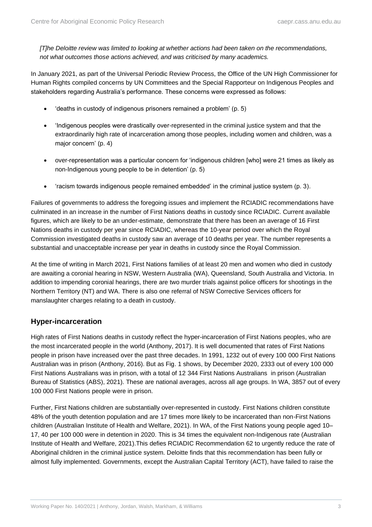*[T]he Deloitte review was limited to looking at whether actions had been taken on the recommendations, not what outcomes those actions achieved, and was criticised by many academics.*

In January 2021, as part of the Universal Periodic Review Process, the Office of the UN High Commissioner for Human Rights compiled concerns by UN Committees and the Special Rapporteur on Indigenous Peoples and stakeholders regarding Australia's performance. These concerns were expressed as follows:

- 'deaths in custody of indigenous prisoners remained a problem' (p. 5)
- 'Indigenous peoples were drastically over-represented in the criminal justice system and that the extraordinarily high rate of incarceration among those peoples, including women and children, was a major concern' (p. 4)
- over-representation was a particular concern for 'indigenous children [who] were 21 times as likely as non-Indigenous young people to be in detention' (p. 5)
- 'racism towards indigenous people remained embedded' in the criminal justice system (p. 3).

Failures of governments to address the foregoing issues and implement the RCIADIC recommendations have culminated in an increase in the number of First Nations deaths in custody since RCIADIC. Current available figures, which are likely to be an under-estimate, demonstrate that there has been an average of 16 First Nations deaths in custody per year since RCIADIC, whereas the 10-year period over which the Royal Commission investigated deaths in custody saw an average of 10 deaths per year. The number represents a substantial and unacceptable increase per year in deaths in custody since the Royal Commission.

At the time of writing in March 2021, First Nations families of at least 20 men and women who died in custody are awaiting a coronial hearing in NSW, Western Australia (WA), Queensland, South Australia and Victoria. In addition to impending coronial hearings, there are two murder trials against police officers for shootings in the Northern Territory (NT) and WA. There is also one referral of NSW Corrective Services officers for manslaughter charges relating to a death in custody.

#### **Hyper-incarceration**

High rates of First Nations deaths in custody reflect the hyper-incarceration of First Nations peoples, who are the most incarcerated people in the world (Anthony, 2017). It is well documented that rates of First Nations people in prison have increased over the past three decades. In 1991, 1232 out of every 100 000 First Nations Australian was in prison (Anthony, 2016). But as Fig. 1 shows, by December 2020, 2333 out of every 100 000 First Nations Australians was in prison, with a total of 12 344 First Nations Australians in prison (Australian Bureau of Statistics (ABS), 2021). These are national averages, across all age groups. In WA, 3857 out of every 100 000 First Nations people were in prison.

Further, First Nations children are substantially over-represented in custody. First Nations children constitute 48% of the youth detention population and are 17 times more likely to be incarcerated than non-First Nations children (Australian Institute of Health and Welfare, 2021). In WA, of the First Nations young people aged 10– 17, 40 per 100 000 were in detention in 2020. This is 34 times the equivalent non-Indigenous rate (Australian Institute of Health and Welfare, 2021).This defies RCIADIC Recommendation 62 to urgently reduce the rate of Aboriginal children in the criminal justice system. Deloitte finds that this recommendation has been fully or almost fully implemented. Governments, except the Australian Capital Territory (ACT), have failed to raise the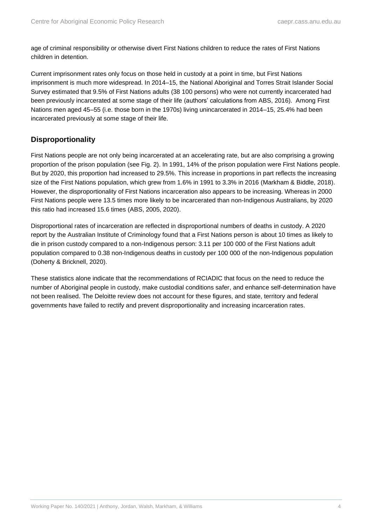age of criminal responsibility or otherwise divert First Nations children to reduce the rates of First Nations children in detention.

Current imprisonment rates only focus on those held in custody at a point in time, but First Nations imprisonment is much more widespread. In 2014–15, the National Aboriginal and Torres Strait Islander Social Survey estimated that 9.5% of First Nations adults (38 100 persons) who were not currently incarcerated had been previously incarcerated at some stage of their life (authors' calculations from ABS, 2016). Among First Nations men aged 45–55 (i.e. those born in the 1970s) living unincarcerated in 2014–15, 25.4% had been incarcerated previously at some stage of their life.

#### **Disproportionality**

First Nations people are not only being incarcerated at an accelerating rate, but are also comprising a growing proportion of the prison population (see Fig. 2). In 1991, 14% of the prison population were First Nations people. But by 2020, this proportion had increased to 29.5%. This increase in proportions in part reflects the increasing size of the First Nations population, which grew from 1.6% in 1991 to 3.3% in 2016 (Markham & Biddle, 2018). However, the disproportionality of First Nations incarceration also appears to be increasing. Whereas in 2000 First Nations people were 13.5 times more likely to be incarcerated than non-Indigenous Australians, by 2020 this ratio had increased 15.6 times (ABS, 2005, 2020).

Disproportional rates of incarceration are reflected in disproportional numbers of deaths in custody. A 2020 report by the Australian Institute of Criminology found that a First Nations person is about 10 times as likely to die in prison custody compared to a non-Indigenous person: 3.11 per 100 000 of the First Nations adult population compared to 0.38 non-Indigenous deaths in custody per 100 000 of the non-Indigenous population (Doherty & Bricknell, 2020).

These statistics alone indicate that the recommendations of RCIADIC that focus on the need to reduce the number of Aboriginal people in custody, make custodial conditions safer, and enhance self-determination have not been realised. The Deloitte review does not account for these figures, and state, territory and federal governments have failed to rectify and prevent disproportionality and increasing incarceration rates.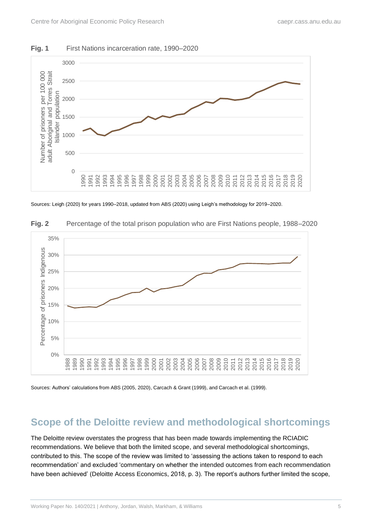<span id="page-10-1"></span>



Sources: Leigh (2020) for years 1990–2018, updated from ABS (2020) using Leigh's methodology for 2019–2020.



<span id="page-10-2"></span>**Fig. 2** Percentage of the total prison population who are First Nations people, 1988–2020

Sources: Authors' calculations from ABS (2005, 2020), Carcach & Grant (1999), and Carcach et al. (1999).

### <span id="page-10-0"></span>**Scope of the Deloitte review and methodological shortcomings**

The Deloitte review overstates the progress that has been made towards implementing the RCIADIC recommendations. We believe that both the limited scope, and several methodological shortcomings, contributed to this. The scope of the review was limited to 'assessing the actions taken to respond to each recommendation' and excluded 'commentary on whether the intended outcomes from each recommendation have been achieved' (Deloitte Access Economics, 2018, p. 3). The report's authors further limited the scope,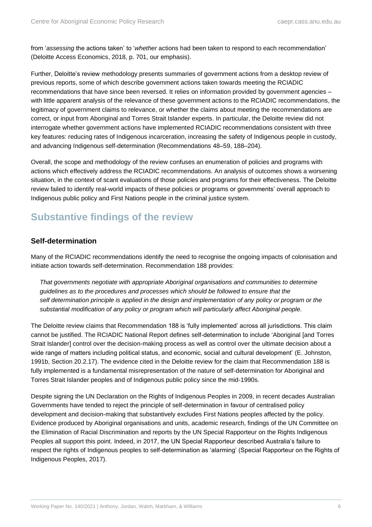from '*assessing* the actions taken' to '*whether* actions had been taken to respond to each recommendation' (Deloitte Access Economics, 2018, p. 701, our emphasis).

Further, Deloitte's review methodology presents summaries of government actions from a desktop review of previous reports, some of which describe government actions taken towards meeting the RCIADIC recommendations that have since been reversed. It relies on information provided by government agencies – with little apparent analysis of the relevance of these government actions to the RCIADIC recommendations, the legitimacy of government claims to relevance, or whether the claims about meeting the recommendations are correct, or input from Aboriginal and Torres Strait Islander experts. In particular, the Deloitte review did not interrogate whether government actions have implemented RCIADIC recommendations consistent with three key features: reducing rates of Indigenous incarceration, increasing the safety of Indigenous people in custody, and advancing Indigenous self-determination (Recommendations 48–59, 188–204).

Overall, the scope and methodology of the review confuses an enumeration of policies and programs with actions which effectively address the RCIADIC recommendations. An analysis of outcomes shows a worsening situation, in the context of scant evaluations of those policies and programs for their effectiveness. The Deloitte review failed to identify real-world impacts of these policies or programs or governments' overall approach to Indigenous public policy and First Nations people in the criminal justice system.

### <span id="page-11-0"></span>**Substantive findings of the review**

#### **Self-determination**

Many of the RCIADIC recommendations identify the need to recognise the ongoing impacts of colonisation and initiate action towards self-determination. Recommendation 188 provides:

*That governments negotiate with appropriate Aboriginal organisations and communities to determine guidelines as to the procedures and processes which should be followed to ensure that the self determination principle is applied in the design and implementation of any policy or program or the substantial modification of any policy or program which will particularly affect Aboriginal people.*

The Deloitte review claims that Recommendation 188 is 'fully implemented' across all jurisdictions. This claim cannot be justified. The RCIADIC National Report defines self-determination to include 'Aboriginal [and Torres Strait Islander] control over the decision-making process as well as control over the ultimate decision about a wide range of matters including political status, and economic, social and cultural development' (E. Johnston, 1991b, Section 20.2.17). The evidence cited in the Deloitte review for the claim that Recommendation 188 is fully implemented is a fundamental misrepresentation of the nature of self-determination for Aboriginal and Torres Strait Islander peoples and of Indigenous public policy since the mid-1990s.

Despite signing the UN Declaration on the Rights of Indigenous Peoples in 2009, in recent decades Australian Governments have tended to reject the principle of self-determination in favour of centralised policy development and decision-making that substantively excludes First Nations peoples affected by the policy. Evidence produced by Aboriginal organisations and units, academic research, findings of the UN Committee on the Elimination of Racial Discrimination and reports by the UN Special Rapporteur on the Rights Indigenous Peoples all support this point. Indeed, in 2017, the UN Special Rapporteur described Australia's failure to respect the rights of Indigenous peoples to self-determination as 'alarming' (Special Rapporteur on the Rights of Indigenous Peoples, 2017).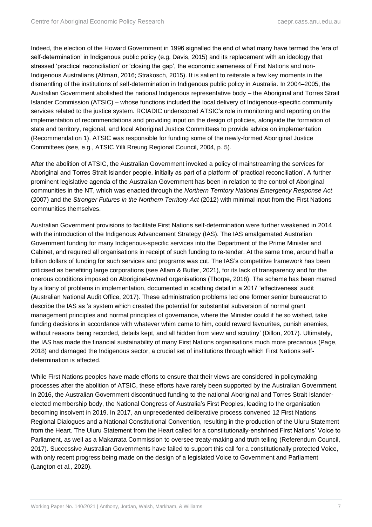Indeed, the election of the Howard Government in 1996 signalled the end of what many have termed the 'era of self-determination' in Indigenous public policy (e.g. Davis, 2015) and its replacement with an ideology that stressed 'practical reconciliation' or 'closing the gap', the economic sameness of First Nations and non-Indigenous Australians (Altman, 2016; Strakosch, 2015). It is salient to reiterate a few key moments in the dismantling of the institutions of self-determination in Indigenous public policy in Australia. In 2004–2005, the Australian Government abolished the national Indigenous representative body – the Aboriginal and Torres Strait Islander Commission (ATSIC) – whose functions included the local delivery of Indigenous-specific community services related to the justice system. RCIADIC underscored ATSIC's role in monitoring and reporting on the implementation of recommendations and providing input on the design of policies, alongside the formation of state and territory, regional, and local Aboriginal Justice Committees to provide advice on implementation (Recommendation 1). ATSIC was responsible for funding some of the newly-formed Aboriginal Justice Committees (see, e.g., ATSIC Yilli Rreung Regional Council, 2004, p. 5).

After the abolition of ATSIC, the Australian Government invoked a policy of mainstreaming the services for Aboriginal and Torres Strait Islander people, initially as part of a platform of 'practical reconciliation'. A further prominent legislative agenda of the Australian Government has been in relation to the control of Aboriginal communities in the NT, which was enacted through the *Northern Territory National Emergency Response Act* (2007) and the *Stronger Futures in the Northern Territory Act* (2012) with minimal input from the First Nations communities themselves.

Australian Government provisions to facilitate First Nations self-determination were further weakened in 2014 with the introduction of the Indigenous Advancement Strategy (IAS). The IAS amalgamated Australian Government funding for many Indigenous-specific services into the Department of the Prime Minister and Cabinet, and required all organisations in receipt of such funding to re-tender. At the same time, around half a billion dollars of funding for such services and programs was cut. The IAS's competitive framework has been criticised as benefiting large corporations (see Allam & Butler, 2021), for its lack of transparency and for the onerous conditions imposed on Aboriginal-owned organisations (Thorpe, 2018). The scheme has been marred by a litany of problems in implementation, documented in scathing detail in a 2017 'effectiveness' audit (Australian National Audit Office, 2017). These administration problems led one former senior bureaucrat to describe the IAS as 'a system which created the potential for substantial subversion of normal grant management principles and normal principles of governance, where the Minister could if he so wished, take funding decisions in accordance with whatever whim came to him, could reward favourites, punish enemies, without reasons being recorded, details kept, and all hidden from view and scrutiny' (Dillon, 2017). Ultimately, the IAS has made the financial sustainability of many First Nations organisations much more precarious (Page, 2018) and damaged the Indigenous sector, a crucial set of institutions through which First Nations selfdetermination is affected.

While First Nations peoples have made efforts to ensure that their views are considered in policymaking processes after the abolition of ATSIC, these efforts have rarely been supported by the Australian Government. In 2016, the Australian Government discontinued funding to the national Aboriginal and Torres Strait Islanderelected membership body, the National Congress of Australia's First Peoples, leading to the organisation becoming insolvent in 2019. In 2017, an unprecedented deliberative process convened 12 First Nations Regional Dialogues and a National Constitutional Convention, resulting in the production of the Uluru Statement from the Heart. The Uluru Statement from the Heart called for a constitutionally-enshrined First Nations' Voice to Parliament, as well as a Makarrata Commission to oversee treaty-making and truth telling (Referendum Council, 2017). Successive Australian Governments have failed to support this call for a constitutionally protected Voice, with only recent progress being made on the design of a legislated Voice to Government and Parliament (Langton et al., 2020).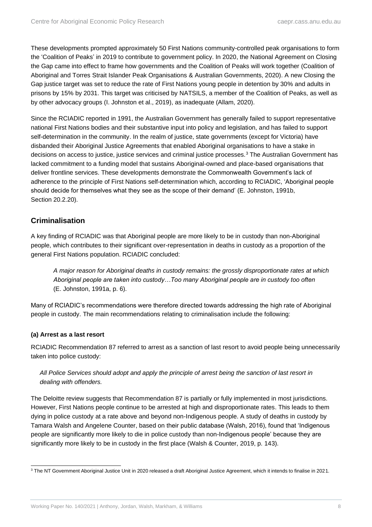These developments prompted approximately 50 First Nations community-controlled peak organisations to form the 'Coalition of Peaks' in 2019 to contribute to government policy. In 2020, the National Agreement on Closing the Gap came into effect to frame how governments and the Coalition of Peaks will work together (Coalition of Aboriginal and Torres Strait Islander Peak Organisations & Australian Governments, 2020). A new Closing the Gap justice target was set to reduce the rate of First Nations young people in detention by 30% and adults in prisons by 15% by 2031. This target was criticised by NATSILS, a member of the Coalition of Peaks, as well as by other advocacy groups (I. Johnston et al., 2019), as inadequate (Allam, 2020).

Since the RCIADIC reported in 1991, the Australian Government has generally failed to support representative national First Nations bodies and their substantive input into policy and legislation, and has failed to support self-determination in the community. In the realm of justice, state governments (except for Victoria) have disbanded their Aboriginal Justice Agreements that enabled Aboriginal organisations to have a stake in decisions on access to justice, justice services and criminal justice processes.<sup>3</sup> The Australian Government has lacked commitment to a funding model that sustains Aboriginal-owned and place-based organisations that deliver frontline services. These developments demonstrate the Commonwealth Government's lack of adherence to the principle of First Nations self-determination which, according to RCIADIC, 'Aboriginal people should decide for themselves what they see as the scope of their demand' (E. Johnston, 1991b, Section 20.2.20).

#### **Criminalisation**

A key finding of RCIADIC was that Aboriginal people are more likely to be in custody than non-Aboriginal people, which contributes to their significant over-representation in deaths in custody as a proportion of the general First Nations population. RCIADIC concluded:

*A major reason for Aboriginal deaths in custody remains: the grossly disproportionate rates at which Aboriginal people are taken into custody…Too many Aboriginal people are in custody too often* (E. Johnston, 1991a, p. 6).

Many of RCIADIC's recommendations were therefore directed towards addressing the high rate of Aboriginal people in custody. The main recommendations relating to criminalisation include the following:

#### **(a) Arrest as a last resort**

RCIADIC Recommendation 87 referred to arrest as a sanction of last resort to avoid people being unnecessarily taken into police custody:

#### *All Police Services should adopt and apply the principle of arrest being the sanction of last resort in dealing with offenders.*

The Deloitte review suggests that Recommendation 87 is partially or fully implemented in most jurisdictions. However, First Nations people continue to be arrested at high and disproportionate rates. This leads to them dying in police custody at a rate above and beyond non-Indigenous people. A study of deaths in custody by Tamara Walsh and Angelene Counter, based on their public database (Walsh, 2016), found that 'Indigenous people are significantly more likely to die in police custody than non-Indigenous people' because they are significantly more likely to be in custody in the first place (Walsh & Counter, 2019, p. 143).

<sup>&</sup>lt;sup>3</sup> The NT Government Aboriginal Justice Unit in 2020 released a draft Aboriginal Justice Agreement, which it intends to finalise in 2021.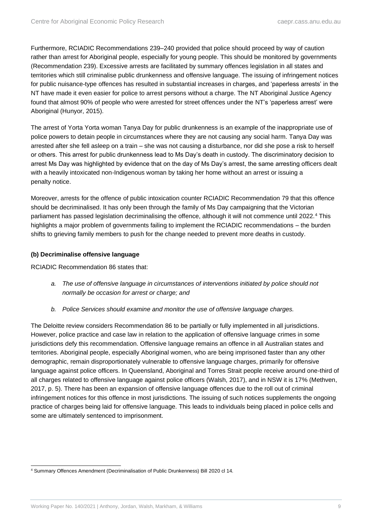Furthermore, RCIADIC Recommendations 239–240 provided that police should proceed by way of caution rather than arrest for Aboriginal people, especially for young people. This should be monitored by governments (Recommendation 239). Excessive arrests are facilitated by summary offences legislation in all states and territories which still criminalise public drunkenness and offensive language. The issuing of infringement notices for public nuisance-type offences has resulted in substantial increases in charges, and 'paperless arrests' in the NT have made it even easier for police to arrest persons without a charge. The NT Aboriginal Justice Agency found that almost 90% of people who were arrested for street offences under the NT's 'paperless arrest' were Aboriginal (Hunyor, 2015).

The arrest of Yorta Yorta woman Tanya Day for public drunkenness is an example of the inappropriate use of police powers to detain people in circumstances where they are not causing any social harm. Tanya Day was arrested after she fell asleep on a train – she was not causing a disturbance, nor did she pose a risk to herself or others. This arrest for public drunkenness lead to Ms Day's death in custody. The discriminatory decision to arrest Ms Day was highlighted by evidence that on the day of Ms Day's arrest, the same arresting officers dealt with a heavily intoxicated non-Indigenous woman by taking her home without an arrest or issuing a penalty notice.

Moreover, arrests for the offence of public intoxication counter RCIADIC Recommendation 79 that this offence should be decriminalised. It has only been through the family of Ms Day campaigning that the Victorian parliament has passed legislation decriminalising the offence, although it will not commence until 2022.<sup>4</sup> This highlights a major problem of governments failing to implement the RCIADIC recommendations – the burden shifts to grieving family members to push for the change needed to prevent more deaths in custody.

#### **(b) Decriminalise offensive language**

RCIADIC Recommendation 86 states that:

- *a. The use of offensive language in circumstances of interventions initiated by police should not normally be occasion for arrest or charge; and*
- *b. Police Services should examine and monitor the use of offensive language charges.*

The Deloitte review considers Recommendation 86 to be partially or fully implemented in all jurisdictions. However, police practice and case law in relation to the application of offensive language crimes in some jurisdictions defy this recommendation. Offensive language remains an offence in all Australian states and territories. Aboriginal people, especially Aboriginal women, who are being imprisoned faster than any other demographic, remain disproportionately vulnerable to offensive language charges, primarily for offensive language against police officers. In Queensland, Aboriginal and Torres Strait people receive around one-third of all charges related to offensive language against police officers (Walsh, 2017), and in NSW it is 17% (Methven, 2017, p. 5). There has been an expansion of offensive language offences due to the roll out of criminal infringement notices for this offence in most jurisdictions. The issuing of such notices supplements the ongoing practice of charges being laid for offensive language. This leads to individuals being placed in police cells and some are ultimately sentenced to imprisonment.

<sup>4</sup> Summary Offences Amendment (Decriminalisation of Public Drunkenness) Bill 2020 cl 14.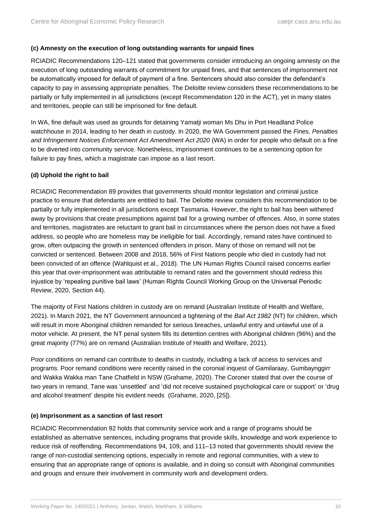#### **(c) Amnesty on the execution of long outstanding warrants for unpaid fines**

RCIADIC Recommendations 120–121 stated that governments consider introducing an ongoing amnesty on the execution of long outstanding warrants of commitment for unpaid fines, and that sentences of imprisonment not be automatically imposed for default of payment of a fine. Sentencers should also consider the defendant's capacity to pay in assessing appropriate penalties. The Deloitte review considers these recommendations to be partially or fully implemented in all jurisdictions (except Recommendation 120 in the ACT), yet in many states and territories, people can still be imprisoned for fine default.

In WA, fine default was used as grounds for detaining Yamatji woman Ms Dhu in Port Headland Police watchhouse in 2014, leading to her death in custody. In 2020, the WA Government passed the *Fines, Penalties*  and Infringement Notices Enforcement Act Amendment Act 2020 (WA) in order for people who default on a fine to be diverted into community service. Nonetheless, imprisonment continues to be a sentencing option for failure to pay fines, which a magistrate can impose as a last resort.

#### **(d) Uphold the right to bail**

RCIADIC Recommendation 89 provides that governments should monitor legislation and criminal justice practice to ensure that defendants are entitled to bail. The Deloitte review considers this recommendation to be partially or fully implemented in all jurisdictions except Tasmania. However, the right to bail has been withered away by provisions that create presumptions against bail for a growing number of offences. Also, in some states and territories, magistrates are reluctant to grant bail in circumstances where the person does not have a fixed address, so people who are homeless may be ineligible for bail. Accordingly, remand rates have continued to grow, often outpacing the growth in sentenced offenders in prison. Many of those on remand will not be convicted or sentenced. Between 2008 and 2018, 56% of First Nations people who died in custody had not been convicted of an offence (Wahlquist et al., 2018). The UN Human Rights Council raised concerns earlier this year that over-imprisonment was attributable to remand rates and the government should redress this injustice by 'repealing punitive bail laws' (Human Rights Council Working Group on the Universal Periodic Review, 2020, Section 44).

The majority of First Nations children in custody are on remand (Australian Institute of Health and Welfare, 2021). In March 2021, the NT Government announced a tightening of the *Bail Act 1982* (NT) for children, which will result in more Aboriginal children remanded for serious breaches, unlawful entry and unlawful use of a motor vehicle. At present, the NT penal system fills its detention centres with Aboriginal children (96%) and the great majority (77%) are on remand (Australian Institute of Health and Welfare, 2021).

Poor conditions on remand can contribute to deaths in custody, including a lack of access to services and programs. Poor remand conditions were recently raised in the coronial inquest of Gamilaraay, Gumbaynggirr and Wakka Wakka man Tane Chatfield in NSW (Grahame, 2020). The Coroner stated that over the course of two years in remand, Tane was 'unsettled' and 'did not receive sustained psychological care or support' or 'drug and alcohol treatment' despite his evident needs (Grahame, 2020, [25]).

#### **(e) Imprisonment as a sanction of last resort**

RCIADIC Recommendation 92 holds that community service work and a range of programs should be established as alternative sentences, including programs that provide skills, knowledge and work experience to reduce risk of reoffending. Recommendations 94, 109, and 111–13 noted that governments should review the range of non-custodial sentencing options, especially in remote and regional communities, with a view to ensuring that an appropriate range of options is available, and in doing so consult with Aboriginal communities and groups and ensure their involvement in community work and development orders.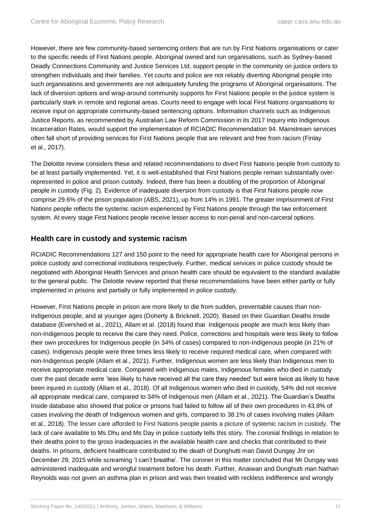However, there are few community-based sentencing orders that are run by First Nations organisations or cater to the specific needs of First Nations people. Aboriginal owned and run organisations, such as Sydney-based Deadly Connections Community and Justice Services Ltd, support people in the community on justice orders to strengthen individuals and their families. Yet courts and police are not reliably diverting Aboriginal people into such organisations and governments are not adequately funding the programs of Aboriginal organisations. The lack of diversion options and wrap-around community supports for First Nations people in the justice system is particularly stark in remote and regional areas. Courts need to engage with local First Nations organisations to receive input on appropriate community-based sentencing options. Information channels such as Indigenous Justice Reports, as recommended by Australian Law Reform Commission in its 2017 Inquiry into Indigenous Incarceration Rates, would support the implementation of RCIADIC Recommendation 94. Mainstream services often fall short of providing services for First Nations people that are relevant and free from racism (Finlay et al., 2017).

The Deloitte review considers these and related recommendations to divert First Nations people from custody to be at least partially implemented. Yet, it is well-established that First Nations people remain substantially overrepresented in police and prison custody. Indeed, there has been a doubling of the proportion of Aboriginal people in custody (Fig. 2). Evidence of inadequate diversion from custody is that First Nations people now comprise 29.6% of the prison population (ABS, 2021), up from 14% in 1991. The greater imprisonment of First Nations people reflects the systemic racism experienced by First Nations people through the law enforcement system. At every stage First Nations people receive lesser access to non-penal and non-carceral options.

#### **Health care in custody and systemic racism**

RCIADIC Recommendations 127 and 150 point to the need for appropriate health care for Aboriginal persons in police custody and correctional institutions respectively. Further, medical services in police custody should be negotiated with Aboriginal Health Services and prison health care should be equivalent to the standard available to the general public. The Deloitte review reported that these recommendations have been either partly or fully implemented in prisons and partially or fully implemented in police custody.

However, First Nations people in prison are more likely to die from sudden, preventable causes than non-Indigenous people, and at younger ages (Doherty & Bricknell, 2020). Based on their Guardian Deaths Inside database (Evershed et al., 2021), Allam et al. (2018) found that Indigenous people are much less likely than non-Indigenous people to receive the care they need. Police, corrections and hospitals were less likely to follow their own procedures for Indigenous people (in 34% of cases) compared to non-Indigenous people (in 21% of cases). Indigenous people were three times less likely to receive required medical care, when compared with non-Indigenous people (Allam et al., 2021). Further, Indigenous women are less likely than Indigenous men to receive appropriate medical care. Compared with Indigenous males, Indigenous females who died in custody over the past decade were 'less likely to have received all the care they needed' but were twice as likely to have been injured in custody (Allam et al., 2018). Of all Indigenous women who died in custody, 54% did not receive all appropriate medical care, compared to 34% of Indigenous men (Allam et al., 2021). The Guardian's Deaths Inside database also showed that police or prisons had failed to follow all of their own procedures in 43.8% of cases involving the death of Indigenous women and girls, compared to 38.1% of cases involving males (Allam et al., 2018). The lesser care afforded to First Nations people paints a picture of systemic racism in custody. The lack of care available to Ms Dhu and Ms Day in police custody tells this story. The coronial findings in relation to their deaths point to the gross inadequacies in the available health care and checks that contributed to their deaths. In prisons, deficient healthcare contributed to the death of Dunghutti man David Dungay Jnr on December 29, 2015 while screaming 'I can't breathe'. The coroner in this matter concluded that Mr Dungay was administered inadequate and wrongful treatment before his death. Further, Anaiwan and Dunghutti man Nathan Reynolds was not given an asthma plan in prison and was then treated with reckless indifference and wrongly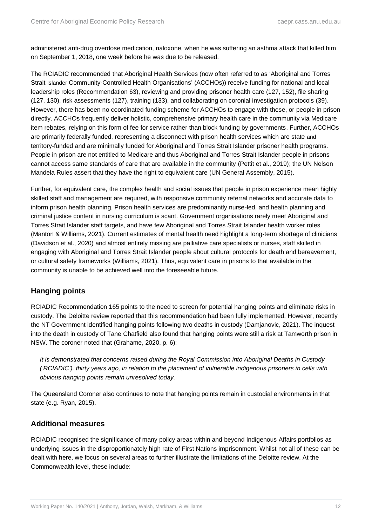administered anti-drug overdose medication, naloxone, when he was suffering an asthma attack that killed him on September 1, 2018, one week before he was due to be released.

The RCIADIC recommended that Aboriginal Health Services (now often referred to as 'Aboriginal and Torres Strait Islander Community-Controlled Health Organisations' (ACCHOs)) receive funding for national and local leadership roles (Recommendation 63), reviewing and providing prisoner health care (127, 152), file sharing (127, 130), risk assessments (127), training (133), and collaborating on coronial investigation protocols (39). However, there has been no coordinated funding scheme for ACCHOs to engage with these, or people in prison directly. ACCHOs frequently deliver holistic, comprehensive primary health care in the community via Medicare item rebates, relying on this form of fee for service rather than block funding by governments. Further, ACCHOs are primarily federally funded, representing a disconnect with prison health services which are state and territory-funded and are minimally funded for Aboriginal and Torres Strait Islander prisoner health programs. People in prison are not entitled to Medicare and thus Aboriginal and Torres Strait Islander people in prisons cannot access same standards of care that are available in the community (Pettit et al., 2019); the UN Nelson Mandela Rules assert that they have the right to equivalent care (UN General Assembly, 2015).

Further, for equivalent care, the complex health and social issues that people in prison experience mean highly skilled staff and management are required, with responsive community referral networks and accurate data to inform prison health planning. Prison health services are predominantly nurse-led, and health planning and criminal justice content in nursing curriculum is scant. Government organisations rarely meet Aboriginal and Torres Strait Islander staff targets, and have few Aboriginal and Torres Strait Islander health worker roles (Manton & Williams, 2021). Current estimates of mental health need highlight a long-term shortage of clinicians (Davidson et al., 2020) and almost entirely missing are palliative care specialists or nurses, staff skilled in engaging with Aboriginal and Torres Strait Islander people about cultural protocols for death and bereavement, or cultural safety frameworks (Williams, 2021). Thus, equivalent care in prisons to that available in the community is unable to be achieved well into the foreseeable future.

#### **Hanging points**

RCIADIC Recommendation 165 points to the need to screen for potential hanging points and eliminate risks in custody. The Deloitte review reported that this recommendation had been fully implemented. However, recently the NT Government identified hanging points following two deaths in custody (Damjanovic, 2021). The inquest into the death in custody of Tane Chatfield also found that hanging points were still a risk at Tamworth prison in NSW. The coroner noted that (Grahame, 2020, p. 6):

*It is demonstrated that concerns raised during the Royal Commission into Aboriginal Deaths in Custody ('RCIADIC'), thirty years ago, in relation to the placement of vulnerable indigenous prisoners in cells with obvious hanging points remain unresolved today.*

The Queensland Coroner also continues to note that hanging points remain in custodial environments in that state (e.g. Ryan, 2015).

#### **Additional measures**

RCIADIC recognised the significance of many policy areas within and beyond Indigenous Affairs portfolios as underlying issues in the disproportionately high rate of First Nations imprisonment. Whilst not all of these can be dealt with here, we focus on several areas to further illustrate the limitations of the Deloitte review. At the Commonwealth level, these include: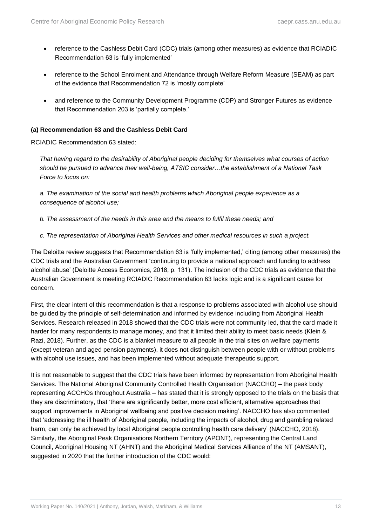- reference to the Cashless Debit Card (CDC) trials (among other measures) as evidence that RCIADIC Recommendation 63 is 'fully implemented'
- reference to the School Enrolment and Attendance through Welfare Reform Measure (SEAM) as part of the evidence that Recommendation 72 is 'mostly complete'
- and reference to the Community Development Programme (CDP) and Stronger Futures as evidence that Recommendation 203 is 'partially complete.'

#### **(a) Recommendation 63 and the Cashless Debit Card**

RCIADIC Recommendation 63 stated:

*That having regard to the desirability of Aboriginal people deciding for themselves what courses of action should be pursued to advance their well-being, ATSIC consider…the establishment of a National Task Force to focus on:* 

*a. The examination of the social and health problems which Aboriginal people experience as a consequence of alcohol use;* 

- *b. The assessment of the needs in this area and the means to fulfil these needs; and*
- *c. The representation of Aboriginal Health Services and other medical resources in such a project.*

The Deloitte review suggests that Recommendation 63 is 'fully implemented,' citing (among other measures) the CDC trials and the Australian Government 'continuing to provide a national approach and funding to address alcohol abuse' (Deloitte Access Economics, 2018, p. 131). The inclusion of the CDC trials as evidence that the Australian Government is meeting RCIADIC Recommendation 63 lacks logic and is a significant cause for concern.

First, the clear intent of this recommendation is that a response to problems associated with alcohol use should be guided by the principle of self-determination and informed by evidence including from Aboriginal Health Services. Research released in 2018 showed that the CDC trials were not community led, that the card made it harder for many respondents to manage money, and that it limited their ability to meet basic needs (Klein & Razi, 2018). Further, as the CDC is a blanket measure to all people in the trial sites on welfare payments (except veteran and aged pension payments), it does not distinguish between people with or without problems with alcohol use issues, and has been implemented without adequate therapeutic support.

It is not reasonable to suggest that the CDC trials have been informed by representation from Aboriginal Health Services. The National Aboriginal Community Controlled Health Organisation (NACCHO) – the peak body representing ACCHOs throughout Australia – has stated that it is strongly opposed to the trials on the basis that they are discriminatory, that 'there are significantly better, more cost efficient, alternative approaches that support improvements in Aboriginal wellbeing and positive decision making'. NACCHO has also commented that 'addressing the ill health of Aboriginal people, including the impacts of alcohol, drug and gambling related harm, can only be achieved by local Aboriginal people controlling health care delivery' (NACCHO, 2018). Similarly, the Aboriginal Peak Organisations Northern Territory (APONT), representing the Central Land Council, Aboriginal Housing NT (AHNT) and the Aboriginal Medical Services Alliance of the NT (AMSANT), suggested in 2020 that the further introduction of the CDC would: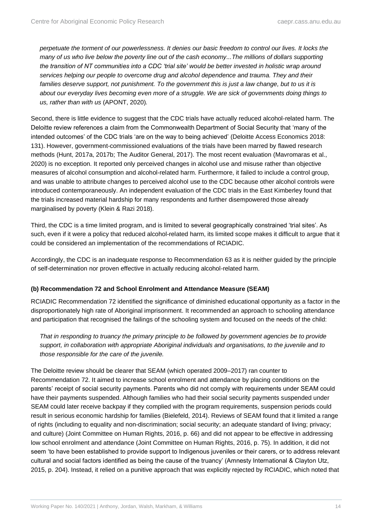*perpetuate the torment of our powerlessness. It denies our basic freedom to control our lives. It locks the many of us who live below the poverty line out of the cash economy...The millions of dollars supporting the transition of NT communities into a CDC 'trial site' would be better invested in holistic wrap around services helping our people to overcome drug and alcohol dependence and trauma. They and their families deserve support, not punishment. To the government this is just a law change, but to us it is about our everyday lives becoming even more of a struggle. We are sick of governments doing things to us, rather than with us* (APONT, 2020)*.*

Second, there is little evidence to suggest that the CDC trials have actually reduced alcohol-related harm. The Deloitte review references a claim from the Commonwealth Department of Social Security that 'many of the intended outcomes' of the CDC trials 'are on the way to being achieved' (Deloitte Access Economics 2018: 131). However, government-commissioned evaluations of the trials have been marred by flawed research methods (Hunt, 2017a, 2017b; The Auditor General, 2017). The most recent evaluation (Mavromaras et al., 2020) is no exception. It reported only perceived changes in alcohol use and misuse rather than objective measures of alcohol consumption and alcohol-related harm. Furthermore, it failed to include a control group, and was unable to attribute changes to perceived alcohol use to the CDC because other alcohol controls were introduced contemporaneously. An independent evaluation of the CDC trials in the East Kimberley found that the trials increased material hardship for many respondents and further disempowered those already marginalised by poverty (Klein & Razi 2018).

Third, the CDC is a time limited program, and is limited to several geographically constrained 'trial sites'. As such, even if it were a policy that reduced alcohol-related harm, its limited scope makes it difficult to argue that it could be considered an implementation of the recommendations of RCIADIC.

Accordingly, the CDC is an inadequate response to Recommendation 63 as it is neither guided by the principle of self-determination nor proven effective in actually reducing alcohol-related harm.

#### **(b) Recommendation 72 and School Enrolment and Attendance Measure (SEAM)**

RCIADIC Recommendation 72 identified the significance of diminished educational opportunity as a factor in the disproportionately high rate of Aboriginal imprisonment. It recommended an approach to schooling attendance and participation that recognised the failings of the schooling system and focused on the needs of the child:

That in responding to truancy the primary principle to be followed by government agencies be to provide *support, in collaboration with appropriate Aboriginal individuals and organisations, to the juvenile and to those responsible for the care of the juvenile.* 

The Deloitte review should be clearer that SEAM (which operated 2009–2017) ran counter to Recommendation 72. It aimed to increase school enrolment and attendance by placing conditions on the parents' receipt of social security payments. Parents who did not comply with requirements under SEAM could have their payments suspended. Although families who had their social security payments suspended under SEAM could later receive backpay if they complied with the program requirements, suspension periods could result in serious economic hardship for families (Bielefeld, 2014). Reviews of SEAM found that it limited a range of rights (including to equality and non-discrimination; social security; an adequate standard of living; privacy; and culture) (Joint Committee on Human Rights, 2016, p. 66) and did not appear to be effective in addressing low school enrolment and attendance (Joint Committee on Human Rights, 2016, p. 75). In addition, it did not seem 'to have been established to provide support to Indigenous juveniles or their carers, or to address relevant cultural and social factors identified as being the cause of the truancy' (Amnesty International & Clayton Utz, 2015, p. 204). Instead, it relied on a punitive approach that was explicitly rejected by RCIADIC, which noted that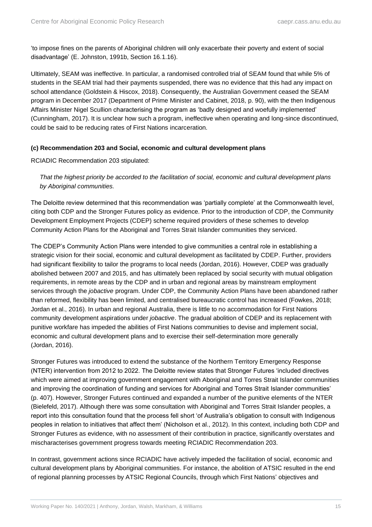'to impose fines on the parents of Aboriginal children will only exacerbate their poverty and extent of social disadvantage' (E. Johnston, 1991b, Section 16.1.16).

Ultimately, SEAM was ineffective. In particular, a randomised controlled trial of SEAM found that while 5% of students in the SEAM trial had their payments suspended, there was no evidence that this had any impact on school attendance (Goldstein & Hiscox, 2018). Consequently, the Australian Government ceased the SEAM program in December 2017 (Department of Prime Minister and Cabinet, 2018, p. 90), with the then Indigenous Affairs Minister Nigel Scullion characterising the program as 'badly designed and woefully implemented' (Cunningham, 2017). It is unclear how such a program, ineffective when operating and long-since discontinued, could be said to be reducing rates of First Nations incarceration.

#### **(c) Recommendation 203 and Social, economic and cultural development plans**

RCIADIC Recommendation 203 stipulated:

*That the highest priority be accorded to the facilitation of social, economic and cultural development plans by Aboriginal communities.*

The Deloitte review determined that this recommendation was 'partially complete' at the Commonwealth level, citing both CDP and the Stronger Futures policy as evidence. Prior to the introduction of CDP, the Community Development Employment Projects (CDEP) scheme required providers of these schemes to develop Community Action Plans for the Aboriginal and Torres Strait Islander communities they serviced.

The CDEP's Community Action Plans were intended to give communities a central role in establishing a strategic vision for their social, economic and cultural development as facilitated by CDEP. Further, providers had significant flexibility to tailor the programs to local needs (Jordan, 2016). However, CDEP was gradually abolished between 2007 and 2015, and has ultimately been replaced by social security with mutual obligation requirements, in remote areas by the CDP and in urban and regional areas by mainstream employment services through the *jobactive* program. Under CDP, the Community Action Plans have been abandoned rather than reformed, flexibility has been limited, and centralised bureaucratic control has increased (Fowkes, 2018; Jordan et al., 2016). In urban and regional Australia, there is little to no accommodation for First Nations community development aspirations under *jobactive*. The gradual abolition of CDEP and its replacement with punitive workfare has impeded the abilities of First Nations communities to devise and implement social, economic and cultural development plans and to exercise their self-determination more generally (Jordan, 2016).

Stronger Futures was introduced to extend the substance of the Northern Territory Emergency Response (NTER) intervention from 2012 to 2022. The Deloitte review states that Stronger Futures 'included directives which were aimed at improving government engagement with Aboriginal and Torres Strait Islander communities and improving the coordination of funding and services for Aboriginal and Torres Strait Islander communities' (p. 407). However, Stronger Futures continued and expanded a number of the punitive elements of the NTER (Bielefeld, 2017). Although there was some consultation with Aboriginal and Torres Strait Islander peoples, a report into this consultation found that the process fell short 'of Australia's obligation to consult with Indigenous peoples in relation to initiatives that affect them' (Nicholson et al., 2012). In this context, including both CDP and Stronger Futures as evidence, with no assessment of their contribution in practice, significantly overstates and mischaracterises government progress towards meeting RCIADIC Recommendation 203.

In contrast, government actions since RCIADIC have actively impeded the facilitation of social, economic and cultural development plans by Aboriginal communities. For instance, the abolition of ATSIC resulted in the end of regional planning processes by ATSIC Regional Councils, through which First Nations' objectives and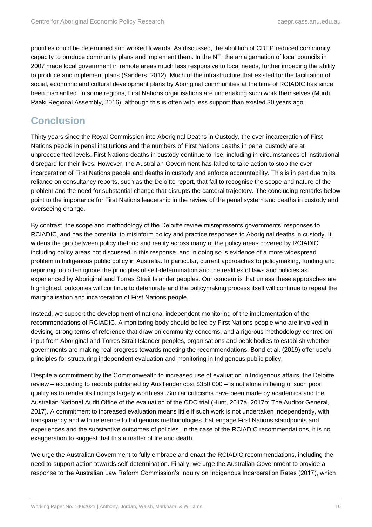priorities could be determined and worked towards. As discussed, the abolition of CDEP reduced community capacity to produce community plans and implement them. In the NT, the amalgamation of local councils in 2007 made local government in remote areas much less responsive to local needs, further impeding the ability to produce and implement plans (Sanders, 2012). Much of the infrastructure that existed for the facilitation of social, economic and cultural development plans by Aboriginal communities at the time of RCIADIC has since been dismantled. In some regions, First Nations organisations are undertaking such work themselves (Murdi Paaki Regional Assembly, 2016), although this is often with less support than existed 30 years ago.

### <span id="page-21-0"></span>**Conclusion**

Thirty years since the Royal Commission into Aboriginal Deaths in Custody, the over-incarceration of First Nations people in penal institutions and the numbers of First Nations deaths in penal custody are at unprecedented levels. First Nations deaths in custody continue to rise, including in circumstances of institutional disregard for their lives. However, the Australian Government has failed to take action to stop the overincarceration of First Nations people and deaths in custody and enforce accountability. This is in part due to its reliance on consultancy reports, such as the Deloitte report, that fail to recognise the scope and nature of the problem and the need for substantial change that disrupts the carceral trajectory. The concluding remarks below point to the importance for First Nations leadership in the review of the penal system and deaths in custody and overseeing change.

By contrast, the scope and methodology of the Deloitte review misrepresents governments' responses to RCIADIC, and has the potential to misinform policy and practice responses to Aboriginal deaths in custody. It widens the gap between policy rhetoric and reality across many of the policy areas covered by RCIADIC, including policy areas not discussed in this response, and in doing so is evidence of a more widespread problem in Indigenous public policy in Australia. In particular, current approaches to policymaking, funding and reporting too often ignore the principles of self-determination and the realities of laws and policies as experienced by Aboriginal and Torres Strait Islander peoples. Our concern is that unless these approaches are highlighted, outcomes will continue to deteriorate and the policymaking process itself will continue to repeat the marginalisation and incarceration of First Nations people.

Instead, we support the development of national independent monitoring of the implementation of the recommendations of RCIADIC. A monitoring body should be led by First Nations people who are involved in devising strong terms of reference that draw on community concerns, and a rigorous methodology centred on input from Aboriginal and Torres Strait Islander peoples, organisations and peak bodies to establish whether governments are making real progress towards meeting the recommendations. Bond et al. (2019) offer useful principles for structuring independent evaluation and monitoring in Indigenous public policy.

Despite a commitment by the Commonwealth to increased use of evaluation in Indigenous affairs, the Deloitte review – according to records published by AusTender cost \$350 000 – is not alone in being of such poor quality as to render its findings largely worthless. Similar criticisms have been made by academics and the Australian National Audit Office of the evaluation of the CDC trial (Hunt, 2017a, 2017b; The Auditor General, 2017). A commitment to increased evaluation means little if such work is not undertaken independently, with transparency and with reference to Indigenous methodologies that engage First Nations standpoints and experiences and the substantive outcomes of policies. In the case of the RCIADIC recommendations, it is no exaggeration to suggest that this a matter of life and death.

We urge the Australian Government to fully embrace and enact the RCIADIC recommendations, including the need to support action towards self-determination. Finally, we urge the Australian Government to provide a response to the Australian Law Reform Commission's Inquiry on Indigenous Incarceration Rates (2017), which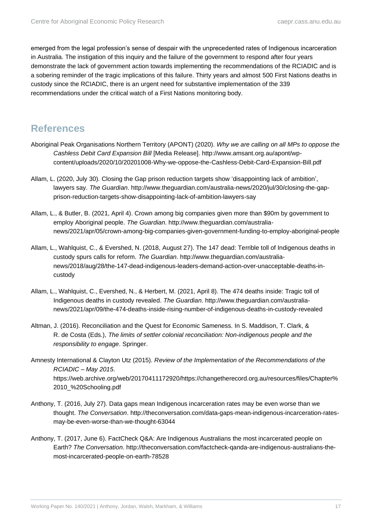emerged from the legal profession's sense of despair with the unprecedented rates of Indigenous incarceration in Australia. The instigation of this inquiry and the failure of the government to respond after four years demonstrate the lack of government action towards implementing the recommendations of the RCIADIC and is a sobering reminder of the tragic implications of this failure. Thirty years and almost 500 First Nations deaths in custody since the RCIADIC, there is an urgent need for substantive implementation of the 339 recommendations under the critical watch of a First Nations monitoring body.

### <span id="page-22-0"></span>**References**

- Aboriginal Peak Organisations Northern Territory (APONT) (2020). *Why we are calling on all MPs to oppose the Cashless Debit Card Expansion Bill* [Media Release]. http://www.amsant.org.au/apont/wpcontent/uploads/2020/10/20201008-Why-we-oppose-the-Cashless-Debit-Card-Expansion-Bill.pdf
- Allam, L. (2020, July 30). Closing the Gap prison reduction targets show 'disappointing lack of ambition', lawyers say. *The Guardian*. http://www.theguardian.com/australia-news/2020/jul/30/closing-the-gapprison-reduction-targets-show-disappointing-lack-of-ambition-lawyers-say
- Allam, L., & Butler, B. (2021, April 4). Crown among big companies given more than \$90m by government to employ Aboriginal people. *The Guardian*. http://www.theguardian.com/australianews/2021/apr/05/crown-among-big-companies-given-government-funding-to-employ-aboriginal-people
- Allam, L., Wahlquist, C., & Evershed, N. (2018, August 27). The 147 dead: Terrible toll of Indigenous deaths in custody spurs calls for reform. *The Guardian*. http://www.theguardian.com/australianews/2018/aug/28/the-147-dead-indigenous-leaders-demand-action-over-unacceptable-deaths-incustody
- Allam, L., Wahlquist, C., Evershed, N., & Herbert, M. (2021, April 8). The 474 deaths inside: Tragic toll of Indigenous deaths in custody revealed. *The Guardian*. http://www.theguardian.com/australianews/2021/apr/09/the-474-deaths-inside-rising-number-of-indigenous-deaths-in-custody-revealed
- Altman, J. (2016). Reconciliation and the Quest for Economic Sameness. In S. Maddison, T. Clark, & R. de Costa (Eds.), *The limits of settler colonial reconciliation: Non-indigenous people and the responsibility to engage*. Springer.
- Amnesty International & Clayton Utz (2015). *Review of the Implementation of the Recommendations of the RCIADIC – May 2015*. https://web.archive.org/web/20170411172920/https://changetherecord.org.au/resources/files/Chapter% 2010\_%20Schooling.pdf
- Anthony, T. (2016, July 27). Data gaps mean Indigenous incarceration rates may be even worse than we thought. *The Conversation*. http://theconversation.com/data-gaps-mean-indigenous-incarceration-ratesmay-be-even-worse-than-we-thought-63044
- Anthony, T. (2017, June 6). FactCheck Q&A: Are Indigenous Australians the most incarcerated people on Earth? *The Conversation*. http://theconversation.com/factcheck-qanda-are-indigenous-australians-themost-incarcerated-people-on-earth-78528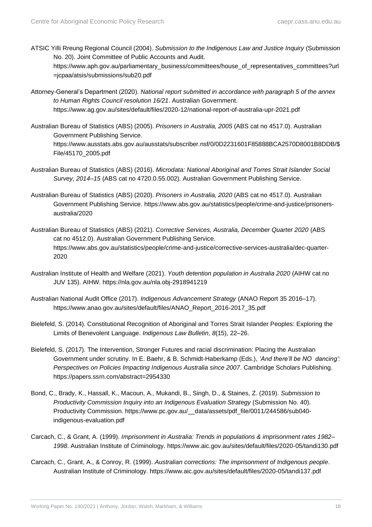=jcpaa/atsis/submissions/sub20.pdf

- ATSIC Yilli Rreung Regional Council (2004). *Submission to the Indigenous Law and Justice Inquiry* (Submission No. 20). Joint Committee of Public Accounts and Audit. https://www.aph.gov.au/parliamentary\_business/committees/house\_of\_representatives\_committees?url
- Attorney-General's Department (2020). *National report submitted in accordance with paragraph 5 of the annex to Human Rights Council resolution 16/21*. Australian Government. https://www.ag.gov.au/sites/default/files/2020-12/national-report-of-australia-upr-2021.pdf
- Australian Bureau of Statistics (ABS) (2005). *Prisoners in Australia, 2005* (ABS cat no 4517.0). Australian Government Publishing Service. https://www.ausstats.abs.gov.au/ausstats/subscriber.nsf/0/0D2231601F85888BCA2570D8001B8DDB/\$ File/45170\_2005.pdf
- Australian Bureau of Statistics (ABS) (2016). *Microdata: National Aboriginal and Torres Strait Islander Social Survey, 2014–15* (ABS cat no 4720.0.55.002). Australian Government Publishing Service.
- Australian Bureau of Statistics (ABS) (2020). *Prisoners in Australia, 2020* (ABS cat no 4517.0). Australian Government Publishing Service. https://www.abs.gov.au/statistics/people/crime-and-justice/prisonersaustralia/2020
- Australian Bureau of Statistics (ABS) (2021). *Corrective Services, Australia, December Quarter 2020* (ABS cat no 4512.0). Australian Government Publishing Service. https://www.abs.gov.au/statistics/people/crime-and-justice/corrective-services-australia/dec-quarter-2020
- Australian Institute of Health and Welfare (2021). *Youth detention population in Australia 2020* (AIHW cat no JUV 135). AIHW. https://nla.gov.au/nla.obj-2918941219
- Australian National Audit Office (2017). *Indigenous Advancement Strategy* (ANAO Report 35 2016–17). https://www.anao.gov.au/sites/default/files/ANAO\_Report\_2016-2017\_35.pdf
- Bielefeld, S. (2014). Constitutional Recognition of Aboriginal and Torres Strait Islander Peoples: Exploring the Limits of Benevolent Language. *Indigenous Law Bulletin*, *8*(15), 22–26.
- Bielefeld, S. (2017). The Intervention, Stronger Futures and racial discrimination: Placing the Australian Government under scrutiny. In E. Baehr, & B. Schmidt-Haberkamp (Eds.), *'And there'll be NO dancing': Perspectives on Policies Impacting Indigenous Australia since 2007*. Cambridge Scholars Publishing. https://papers.ssrn.com/abstract=2954330
- Bond, C., Brady, K., Hassall, K., Macoun, A., Mukandi, B., Singh, D., & Staines, Z. (2019). *Submission to Productivity Commission Inquiry into an Indigenous Evaluation Strategy* (Submission No. 40). Productivity Commission. https://www.pc.gov.au/\_\_data/assets/pdf\_file/0011/244586/sub040 indigenous-evaluation.pdf
- Carcach, C., & Grant, A. (1999). *Imprisonment in Australia: Trends in populations & imprisonment rates 1982– 1998*. Australian Institute of Criminology. https://www.aic.gov.au/sites/default/files/2020-05/tandi130.pdf
- Carcach, C., Grant, A., & Conroy, R. (1999). *Australian corrections: The imprisonment of Indigenous people*. Australian Institute of Criminology. https://www.aic.gov.au/sites/default/files/2020-05/tandi137.pdf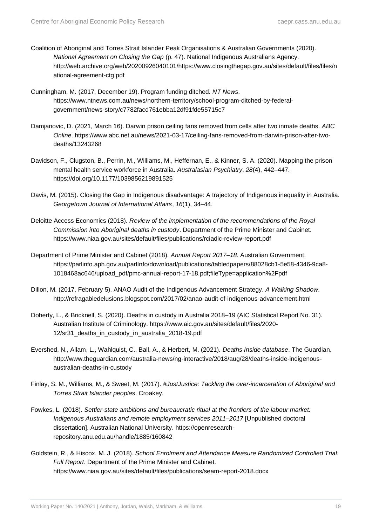- Coalition of Aboriginal and Torres Strait Islander Peak Organisations & Australian Governments (2020). *National Agreement on Closing the Gap* (p. 47). National Indigenous Australians Agency. http://web.archive.org/web/20200926040101/https://www.closingthegap.gov.au/sites/default/files/files/n ational-agreement-ctg.pdf
- Cunningham, M. (2017, December 19). Program funding ditched. *NT News*. https://www.ntnews.com.au/news/northern-territory/school-program-ditched-by-federalgovernment/news-story/c7782facd761ebba12df91fde55715c7
- Damjanovic, D. (2021, March 16). Darwin prison ceiling fans removed from cells after two inmate deaths. *ABC Online*. https://www.abc.net.au/news/2021-03-17/ceiling-fans-removed-from-darwin-prison-after-twodeaths/13243268
- Davidson, F., Clugston, B., Perrin, M., Williams, M., Heffernan, E., & Kinner, S. A. (2020). Mapping the prison mental health service workforce in Australia. *Australasian Psychiatry*, *28*(4), 442–447. https://doi.org/10.1177/1039856219891525
- Davis, M. (2015). Closing the Gap in Indigenous disadvantage: A trajectory of Indigenous inequality in Australia. *Georgetown Journal of International Affairs*, *16*(1), 34–44.
- Deloitte Access Economics (2018). *Review of the implementation of the recommendations of the Royal Commission into Aboriginal deaths in custody*. Department of the Prime Minister and Cabinet. https://www.niaa.gov.au/sites/default/files/publications/rciadic-review-report.pdf
- Department of Prime Minister and Cabinet (2018). *Annual Report 2017–18*. Australian Government. https://parlinfo.aph.gov.au/parlInfo/download/publications/tabledpapers/88028cb1-5e58-4346-9ca8- 1018468ac646/upload\_pdf/pmc-annual-report-17-18.pdf;fileType=application%2Fpdf
- Dillon, M. (2017, February 5). ANAO Audit of the Indigenous Advancement Strategy. *A Walking Shadow*. http://refragabledelusions.blogspot.com/2017/02/anao-audit-of-indigenous-advancement.html
- Doherty, L., & Bricknell, S. (2020). Deaths in custody in Australia 2018–19 (AIC Statistical Report No. 31). Australian Institute of Criminology. https://www.aic.gov.au/sites/default/files/2020- 12/sr31 deaths in custody in australia 2018-19.pdf
- Evershed, N., Allam, L., Wahlquist, C., Ball, A., & Herbert, M. (2021). *Deaths Inside database*. The Guardian. http://www.theguardian.com/australia-news/ng-interactive/2018/aug/28/deaths-inside-indigenousaustralian-deaths-in-custody
- Finlay, S. M., Williams, M., & Sweet, M. (2017). *#JustJustice: Tackling the over-incarceration of Aboriginal and Torres Strait Islander peoples*. Croakey.
- Fowkes, L. (2018). *Settler-state ambitions and bureaucratic ritual at the frontiers of the labour market: Indigenous Australians and remote employment services 2011–2017* [Unpublished doctoral dissertation]. Australian National University. https://openresearchrepository.anu.edu.au/handle/1885/160842
- Goldstein, R., & Hiscox, M. J. (2018). *School Enrolment and Attendance Measure Randomized Controlled Trial: Full Report*. Department of the Prime Minister and Cabinet. https://www.niaa.gov.au/sites/default/files/publications/seam-report-2018.docx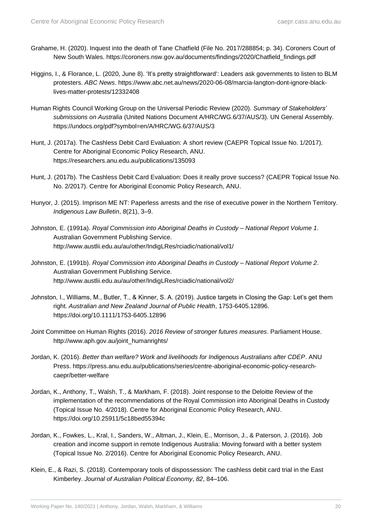- Grahame, H. (2020). Inquest into the death of Tane Chatfield (File No. 2017/288854; p. 34). Coroners Court of New South Wales. https://coroners.nsw.gov.au/documents/findings/2020/Chatfield\_findings.pdf
- Higgins, I., & Florance, L. (2020, June 8). 'It's pretty straightforward': Leaders ask governments to listen to BLM protesters. *ABC News*. https://www.abc.net.au/news/2020-06-08/marcia-langton-dont-ignore-blacklives-matter-protests/12332408
- Human Rights Council Working Group on the Universal Periodic Review (2020). *Summary of Stakeholders' submissions on Australia* (United Nations Document A/HRC/WG.6/37/AUS/3). UN General Assembly. https://undocs.org/pdf?symbol=en/A/HRC/WG.6/37/AUS/3
- Hunt, J. (2017a). The Cashless Debit Card Evaluation: A short review (CAEPR Topical Issue No. 1/2017). Centre for Aboriginal Economic Policy Research, ANU. https://researchers.anu.edu.au/publications/135093
- Hunt, J. (2017b). The Cashless Debit Card Evaluation: Does it really prove success? (CAEPR Topical Issue No. No. 2/2017). Centre for Aboriginal Economic Policy Research, ANU.
- Hunyor, J. (2015). Imprison ME NT: Paperless arrests and the rise of executive power in the Northern Territory. *Indigenous Law Bulletin*, *8*(21), 3–9.
- Johnston, E. (1991a). *Royal Commission into Aboriginal Deaths in Custody – National Report Volume 1*. Australian Government Publishing Service. http://www.austlii.edu.au/au/other/IndigLRes/rciadic/national/vol1/
- Johnston, E. (1991b). *Royal Commission into Aboriginal Deaths in Custody – National Report Volume 2*. Australian Government Publishing Service. http://www.austlii.edu.au/au/other/IndigLRes/rciadic/national/vol2/
- Johnston, I., Williams, M., Butler, T., & Kinner, S. A. (2019). Justice targets in Closing the Gap: Let's get them right. *Australian and New Zealand Journal of Public Health*, 1753-6405.12896. https://doi.org/10.1111/1753-6405.12896
- Joint Committee on Human Rights (2016). *2016 Review of stronger futures measures*. Parliament House. http://www.aph.gov.au/joint\_humanrights/
- Jordan, K. (2016). *Better than welfare? Work and livelihoods for Indigenous Australians after CDEP*. ANU Press. https://press.anu.edu.au/publications/series/centre-aboriginal-economic-policy-researchcaepr/better-welfare
- Jordan, K., Anthony, T., Walsh, T., & Markham, F. (2018). Joint response to the Deloitte Review of the implementation of the recommendations of the Royal Commission into Aboriginal Deaths in Custody (Topical Issue No. 4/2018). Centre for Aboriginal Economic Policy Research, ANU. https://doi.org/10.25911/5c18bed55394c
- Jordan, K., Fowkes, L., Kral, I., Sanders, W., Altman, J., Klein, E., Morrison, J., & Paterson, J. (2016). Job creation and income support in remote Indigenous Australia: Moving forward with a better system (Topical Issue No. 2/2016). Centre for Aboriginal Economic Policy Research, ANU.
- Klein, E., & Razi, S. (2018). Contemporary tools of dispossession: The cashless debit card trial in the East Kimberley. *Journal of Australian Political Economy*, *82*, 84–106.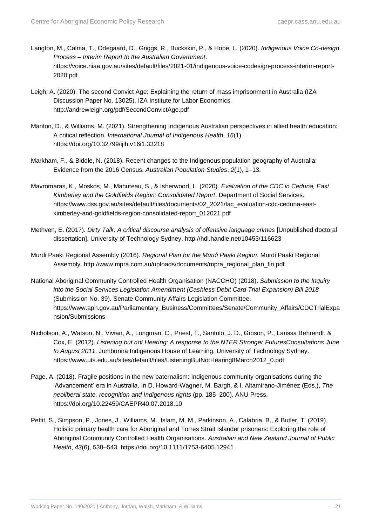- Langton, M., Calma, T., Odegaard, D., Griggs, R., Buckskin, P., & Hope, L. (2020). *Indigenous Voice Co-design Process – Interim Report to the Australian Government*. https://voice.niaa.gov.au/sites/default/files/2021-01/indigenous-voice-codesign-process-interim-report-2020.pdf
- Leigh, A. (2020). The second Convict Age: Explaining the return of mass imprisonment in Australia (IZA Discussion Paper No. 13025). IZA Institute for Labor Economics. http://andrewleigh.org/pdf/SecondConvictAge.pdf
- Manton, D., & Williams, M. (2021). Strengthening Indigenous Australian perspectives in allied health education: A critical reflection. *International Journal of Indigenous Health*, *16*(1). https://doi.org/10.32799/ijih.v16i1.33218
- Markham, F., & Biddle, N. (2018). Recent changes to the Indigenous population geography of Australia: Evidence from the 2016 Census. *Australian Population Studies*, *2*(1), 1–13.
- Mavromaras, K., Moskos, M., Mahuteau, S., & Isherwood, L. (2020). *Evaluation of the CDC in Ceduna, East Kimberley and the Goldfields Region: Consolidated Report*. Department of Social Services. https://www.dss.gov.au/sites/default/files/documents/02\_2021/fac\_evaluation-cdc-ceduna-eastkimberley-and-goldfields-region-consolidated-report\_012021.pdf
- Methven, E. (2017). *Dirty Talk: A critical discourse analysis of offensive language crimes* [Unpublished doctoral dissertation]. University of Technology Sydney. http://hdl.handle.net/10453/116623
- Murdi Paaki Regional Assembly (2016). *Regional Plan for the Murdi Paaki Region*. Murdi Paaki Regional Assembly. http://www.mpra.com.au/uploads/documents/mpra\_regional\_plan\_fin.pdf
- National Aboriginal Community Controlled Health Organisation (NACCHO) (2018). *Submission to the Inquiry into the Social Services Legislation Amendment (Cashless Debit Card Trial Expansion) Bill 2018* (Submission No. 39). Senate Community Affairs Legislation Committee. https://www.aph.gov.au/Parliamentary\_Business/Committees/Senate/Community\_Affairs/CDCTrialExpa nsion/Submissions
- Nicholson, A., Watson, N., Vivian, A., Longman, C., Priest, T., Santolo, J. D., Gibson, P., Larissa Behrendt, & Cox, E. (2012). *Listening but not Hearing: A response to the NTER Stronger FuturesConsultations June to August 2011*. Jumbunna Indigenous House of Learning, University of Technology Sydney. https://www.uts.edu.au/sites/default/files/ListeningButNotHearing8March2012\_0.pdf
- Page, A. (2018). Fragile positions in the new paternalism: Indigenous community organisations during the 'Advancement' era in Australia. In D. Howard-Wagner, M. Bargh, & I. Altamirano-Jiménez (Eds.), *The neoliberal state, recognition and Indigenous rights* (pp. 185–200). ANU Press. https://doi.org/10.22459/CAEPR40.07.2018.10
- Pettit, S., Simpson, P., Jones, J., Williams, M., Islam, M. M., Parkinson, A., Calabria, B., & Butler, T. (2019). Holistic primary health care for Aboriginal and Torres Strait Islander prisoners: Exploring the role of Aboriginal Community Controlled Health Organisations. *Australian and New Zealand Journal of Public Health*, *43*(6), 538–543. https://doi.org/10.1111/1753-6405.12941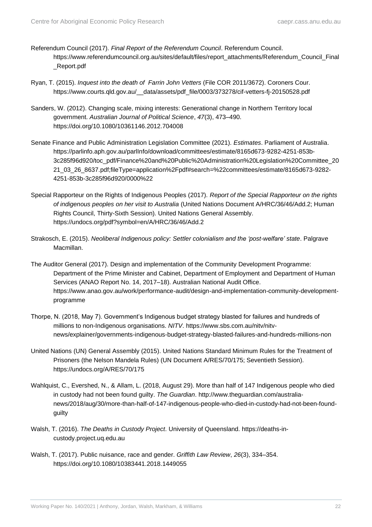- Referendum Council (2017). *Final Report of the Referendum Council*. Referendum Council. https://www.referendumcouncil.org.au/sites/default/files/report\_attachments/Referendum\_Council\_Final \_Report.pdf
- Ryan, T. (2015). *Inquest into the death of Farrin John Vetters* (File COR 2011/3672). Coroners Cour. https://www.courts.qld.gov.au/\_\_data/assets/pdf\_file/0003/373278/cif-vetters-fj-20150528.pdf
- Sanders, W. (2012). Changing scale, mixing interests: Generational change in Northern Territory local government. *Australian Journal of Political Science*, *47*(3), 473–490. https://doi.org/10.1080/10361146.2012.704008
- Senate Finance and Public Administration Legislation Committee (2021). *Estimates*. Parliament of Australia. https://parlinfo.aph.gov.au/parlInfo/download/committees/estimate/8165d673-9282-4251-853b-3c285f96d920/toc\_pdf/Finance%20and%20Public%20Administration%20Legislation%20Committee\_20 21\_03\_26\_8637.pdf;fileType=application%2Fpdf#search=%22committees/estimate/8165d673-9282- 4251-853b-3c285f96d920/0000%22
- Special Rapporteur on the Rights of Indigenous Peoples (2017). *Report of the Special Rapporteur on the rights of indigenous peoples on her visit to Australia* (United Nations Document A/HRC/36/46/Add.2; Human Rights Council, Thirty-Sixth Session). United Nations General Assembly. https://undocs.org/pdf?symbol=en/A/HRC/36/46/Add.2
- Strakosch, E. (2015). *Neoliberal Indigenous policy: Settler colonialism and the 'post-welfare' state*. Palgrave Macmillan.
- The Auditor General (2017). Design and implementation of the Community Development Programme: Department of the Prime Minister and Cabinet, Department of Employment and Department of Human Services (ANAO Report No. 14, 2017–18). Australian National Audit Office. https://www.anao.gov.au/work/performance-audit/design-and-implementation-community-developmentprogramme
- Thorpe, N. (2018, May 7). Government's Indigenous budget strategy blasted for failures and hundreds of millions to non-Indigenous organisations. *NITV*. https://www.sbs.com.au/nitv/nitvnews/explainer/governments-indigenous-budget-strategy-blasted-failures-and-hundreds-millions-non
- United Nations (UN) General Assembly (2015). United Nations Standard Minimum Rules for the Treatment of Prisoners (the Nelson Mandela Rules) (UN Document A/RES/70/175; Seventieth Session). https://undocs.org/A/RES/70/175
- Wahlquist, C., Evershed, N., & Allam, L. (2018, August 29). More than half of 147 Indigenous people who died in custody had not been found guilty. *The Guardian*. http://www.theguardian.com/australianews/2018/aug/30/more-than-half-of-147-indigenous-people-who-died-in-custody-had-not-been-foundguilty
- Walsh, T. (2016). *The Deaths in Custody Project*. University of Queensland. https://deaths-incustody.project.uq.edu.au
- Walsh, T. (2017). Public nuisance, race and gender. *Griffith Law Review*, *26*(3), 334–354. https://doi.org/10.1080/10383441.2018.1449055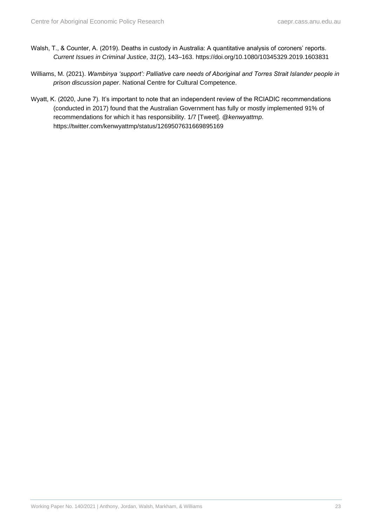- Walsh, T., & Counter, A. (2019). Deaths in custody in Australia: A quantitative analysis of coroners' reports. *Current Issues in Criminal Justice*, *31*(2), 143–163. https://doi.org/10.1080/10345329.2019.1603831
- Williams, M. (2021). *Wambinya 'support': Palliative care needs of Aboriginal and Torres Strait Islander people in prison discussion paper*. National Centre for Cultural Competence.
- Wyatt, K. (2020, June 7). It's important to note that an independent review of the RCIADIC recommendations (conducted in 2017) found that the Australian Government has fully or mostly implemented 91% of recommendations for which it has responsibility. 1/7 [Tweet]. *@kenwyattmp*. https://twitter.com/kenwyattmp/status/1269507631669895169